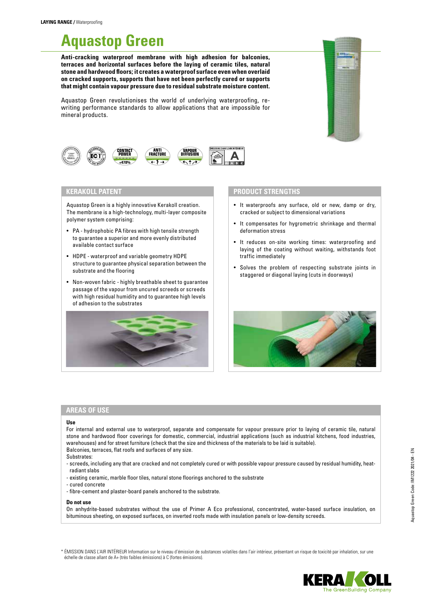# **Aquastop Green**

**Anti-cracking waterproof membrane with high adhesion for balconies, terraces and horizontal surfaces before the laying of ceramic tiles, natural stone and hardwood floors; it creates a waterproof surface even when overlaid on cracked supports, supports that have not been perfectly cured or supports that might contain vapour pressure due to residual substrate moisture content.**

Aquastop Green revolutionises the world of underlying waterproofing, rewriting performance standards to allow applications that are impossible for mineral products.





## **KERAKOLL PATENT**

Aquastop Green is a highly innovative Kerakoll creation. The membrane is a high-technology, multi-layer composite polymer system comprising:

- PA hydrophobic PA fibres with high tensile strength to guarantee a superior and more evenly distributed available contact surface
- HDPE waterproof and variable geometry HDPE structure to guarantee physical separation between the substrate and the flooring
- Non-woven fabric highly breathable sheet to guarantee passage of the vapour from uncured screeds or screeds with high residual humidity and to guarantee high levels of adhesion to the substrates



## **PRODUCT STRENGTHS**

- It waterproofs any surface, old or new, damp or dry, cracked or subject to dimensional variations
- It compensates for hygrometric shrinkage and thermal deformation stress
- It reduces on-site working times: waterproofing and laying of the coating without waiting, withstands foot traffic immediately
- Solves the problem of respecting substrate joints in staggered or diagonal laying (cuts in doorways)



## **AREAS OF USE**

#### **Use**

For internal and external use to waterproof, separate and compensate for vapour pressure prior to laying of ceramic tile, natural stone and hardwood floor coverings for domestic, commercial, industrial applications (such as industrial kitchens, food industries, warehouses) and for street furniture (check that the size and thickness of the materials to be laid is suitable). Balconies, terraces, flat roofs and surfaces of any size.

- Substrates:
- screeds, including any that are cracked and not completely cured or with possible vapour pressure caused by residual humidity, heatradiant slabs
- existing ceramic, marble floor tiles, natural stone floorings anchored to the substrate
- cured concrete
- fibre-cement and plaster-board panels anchored to the substrate.

#### **Do not use**

On anhydrite-based substrates without the use of Primer A Eco professional, concentrated, water-based surface insulation, on bituminous sheeting, on exposed surfaces, on inverted roofs made with insulation panels or low-density screeds.

\* ÉMISSION DANS L'AIR INTÉRIEUR Information sur le niveau d'émission de substances volatiles dans l'air intérieur, présentant un risque de toxicité par inhalation, sur une échelle de classe allant de A+ (très faibles émissions) à C (fortes émissions).

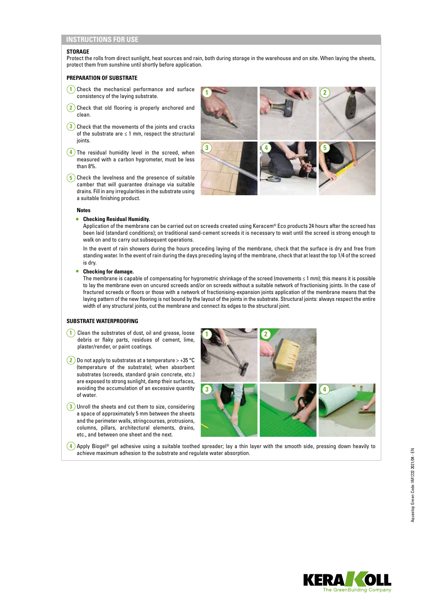#### **STORAGE**

Protect the rolls from direct sunlight, heat sources and rain, both during storage in the warehouse and on site. When laying the sheets, protect them from sunshine until shortly before application.

## **PREPARATION OF SUBSTRATE**

- **1** Check the mechanical performance and surface consistency of the laying substrate.
- **2** Check that old flooring is properly anchored and clean.
- **3** Check that the movements of the joints and cracks of the substrate are  $\leq 1$  mm, respect the structural joints.
- **4** The residual humidity level in the screed, when measured with a carbon hygrometer, must be less than 8%.
- **5** Check the levelness and the presence of suitable camber that will guarantee drainage via suitable drains. Fill in any irregularities in the substrate using a suitable finishing product.



#### **Notes**

#### • **Checking Residual Humidity.**

Application of the membrane can be carried out on screeds created using Keracem® Eco products 24 hours after the screed has been laid (standard conditions); on traditional sand-cement screeds it is necessary to wait until the screed is strong enough to walk on and to carry out subsequent operations.

In the event of rain showers during the hours preceding laying of the membrane, check that the surface is dry and free from standing water. In the event of rain during the days preceding laying of the membrane, check that at least the top 1/4 of the screed is dry.

#### • **Checking for damage.**

The membrane is capable of compensating for hygrometric shrinkage of the screed (movements ≤ 1 mm); this means it is possible to lay the membrane even on uncured screeds and/or on screeds without a suitable network of fractionising joints. In the case of fractured screeds or floors or those with a network of fractionising-expansion joints application of the membrane means that the laying pattern of the new flooring is not bound by the layout of the joints in the substrate. Structural joints: always respect the entire width of any structural joints, cut the membrane and connect its edges to the structural joint.

## **SUBSTRATE WATERPROOFING**

- **1** Clean the substrates of dust, oil and grease, loose debris or flaky parts, residues of cement, lime, plaster/render, or paint coatings.
- $\left( 2\right)$  Do not apply to substrates at a temperature > +35 °C (temperature of the substrate); when absorbent substrates (screeds, standard grain concrete, etc.) are exposed to strong sunlight, damp their surfaces, avoiding the accumulation of an excessive quantity of water.
- **3** Unroll the sheets and cut them to size, considering a space of approximately 5 mm between the sheets and the perimeter walls, stringcourses, protrusions, columns, pillars, architectural elements, drains, etc., and between one sheet and the next.



**4** Apply Biogel® gel adhesive using a suitable toothed spreader; lay a thin layer with the smooth side, pressing down heavily to achieve maximum adhesion to the substrate and regulate water absorption.

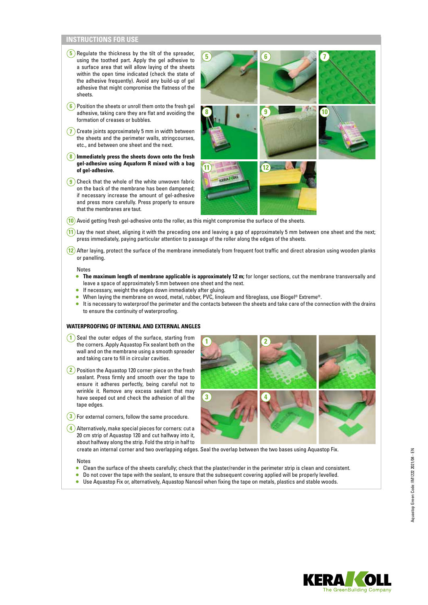- **5** Regulate the thickness by the tilt of the spreader, using the toothed part. Apply the gel adhesive to a surface area that will allow laying of the sheets within the open time indicated (check the state of the adhesive frequently). Avoid any build-up of gel adhesive that might compromise the flatness of the sheets.
- **6** Position the sheets or unroll them onto the fresh gel adhesive, taking care they are flat and avoiding the formation of creases or bubbles.
- **7** Create joints approximately 5 mm in width between the sheets and the perimeter walls, stringcourses, etc., and between one sheet and the next.
- **8 Immediately press the sheets down onto the fresh gel-adhesive using Aquaform R mixed with a bag of gel-adhesive.**
- **9** Check that the whole of the white unwoven fabric on the back of the membrane has been dampened; if necessary increase the amount of gel-adhesive and press more carefully. Press properly to ensure that the membranes are taut.



- **10** Avoid getting fresh gel-adhesive onto the roller, as this might compromise the surface of the sheets.
- **11** Lay the next sheet, aligning it with the preceding one and leaving a gap of approximately 5 mm between one sheet and the next; press immediately, paying particular attention to passage of the roller along the edges of the sheets.
- **12** After laying, protect the surface of the membrane immediately from frequent foot traffic and direct abrasion using wooden planks or panelling.

#### Notes

- **The maximum length of membrane applicable is approximately 12 m;** for longer sections, cut the membrane transversally and leave a space of approximately 5 mm between one sheet and the next.
- If necessary, weight the edges down immediately after gluing.
- When laying the membrane on wood, metal, rubber, PVC, linoleum and fibreglass, use Biogel® Extreme®.
- It is necessary to waterproof the perimeter and the contacts between the sheets and take care of the connection with the drains to ensure the continuity of waterproofing.

## **WATERPROOFING OF INTERNAL AND EXTERNAL ANGLES**

- **1** Seal the outer edges of the surface, starting from the corners. Apply Aquastop Fix sealant both on the wall and on the membrane using a smooth spreader and taking care to fill in circular cavities.
- **2** Position the Aquastop 120 corner piece on the fresh sealant. Press firmly and smooth over the tape to ensure it adheres perfectly, being careful not to wrinkle it. Remove any excess sealant that may have seeped out and check the adhesion of all the tape edges.
- $\left(3\right)$  For external corners, follow the same procedure.

**4** Alternatively, make special pieces for corners: cut a 20 cm strip of Aquastop 120 and cut halfway into it, about halfway along the strip. Fold the strip in half to



create an internal corner and two overlapping edges. Seal the overlap between the two bases using Aquastop Fix.

#### Notes

- Clean the surface of the sheets carefully; check that the plaster/render in the perimeter strip is clean and consistent.
- Do not cover the tape with the sealant, to ensure that the subsequent covering applied will be properly levelled.
- Use Aquastop Fix or, alternatively, Aquastop Nanosil when fixing the tape on metals, plastics and stable woods.

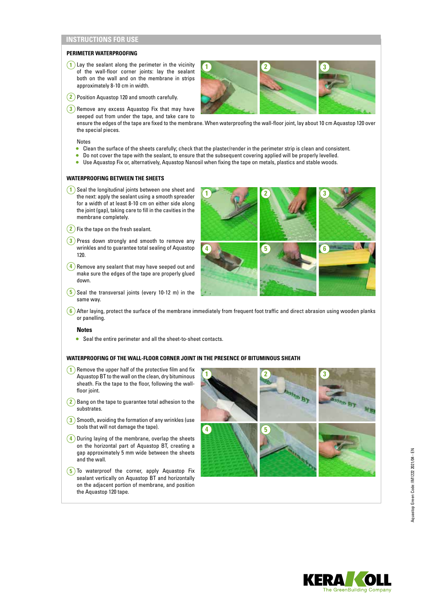## **PERIMETER WATERPROOFING**

- **1** Lay the sealant along the perimeter in the vicinity of the wall-floor corner joints: lay the sealant both on the wall and on the membrane in strips approximately 8-10 cm in width.
- **2** Position Aquastop 120 and smooth carefully.
- **3**) Remove any excess Aquastop Fix that may have

seeped out from under the tape, and take care to ensure the edges of the tape are fixed to the membrane. When waterproofing the wall-floor joint, lay about 10 cm Aquastop 120 over

**1 2 3**

Notes

the special pieces.

- Clean the surface of the sheets carefully; check that the plaster/render in the perimeter strip is clean and consistent.
- Do not cover the tape with the sealant, to ensure that the subsequent covering applied will be properly levelled.
- Use Aquastop Fix or, alternatively, Aquastop Nanosil when fixing the tape on metals, plastics and stable woods.

#### **WATERPROOFING BETWEEN THE SHEETS**

- **1** Seal the longitudinal joints between one sheet and the next: apply the sealant using a smooth spreader for a width of at least 8-10 cm on either side along the joint (gap), taking care to fill in the cavities in the membrane completely.
- **2** Fix the tape on the fresh sealant.
- **3** Press down strongly and smooth to remove any wrinkles and to guarantee total sealing of Aquastop 120.
- $(4)$  Remove any sealant that may have seeped out and make sure the edges of the tape are properly glued down.
- **5** Seal the transversal joints (every 10-12 m) in the same way.



**6** After laying, protect the surface of the membrane immediately from frequent foot traffic and direct abrasion using wooden planks or panelling.

#### **Notes**

• Seal the entire perimeter and all the sheet-to-sheet contacts.

## **WATERPROOFING OF THE WALL-FLOOR CORNER JOINT IN THE PRESENCE OF BITUMINOUS SHEATH**

- **1** Remove the upper half of the protective film and fix Aquastop BT to the wall on the clean, dry bituminous sheath. Fix the tape to the floor, following the wallfloor joint.
- **2** Bang on the tape to guarantee total adhesion to the substrates.
- **3** Smooth, avoiding the formation of any wrinkles (use tools that will not damage the tape).
- **4** During laying of the membrane, overlap the sheets on the horizontal part of Aquastop BT, creating a gap approximately 5 mm wide between the sheets and the wall.
- **5** To waterproof the corner, apply Aquastop Fix sealant vertically on Aquastop BT and horizontally on the adjacent portion of membrane, and position the Aquastop 120 tape.



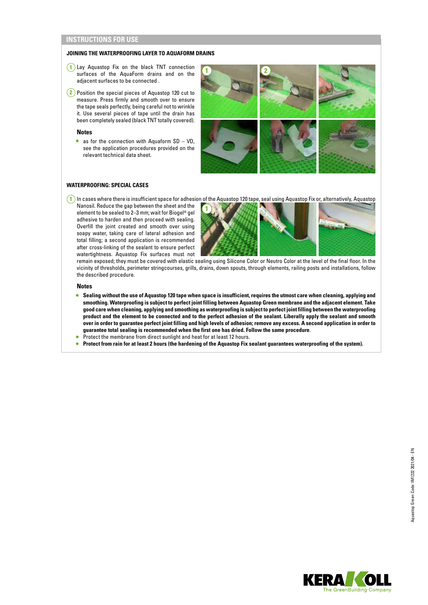## **JOINING THE WATERPROOFING LAYER TO AQUAFORM DRAINS**

- **1** Lay Aquastop Fix on the black TNT connection surfaces of the AquaForm drains and on the adjacent surfaces to be connected .
- **2** Position the special pieces of Aquastop 120 cut to measure. Press firmly and smooth over to ensure the tape seals perfectly, being careful not to wrinkle it. Use several pieces of tape until the drain has been completely sealed (black TNT totally covered).

#### **Notes**

• as for the connection with Aquaform  $SD - VD$ , see the application procedures provided on the relevant technical data sheet.



## **WATERPROOFING: SPECIAL CASES**

Nanosil. Reduce the gap between the sheet and the element to be sealed to 2–3 mm; wait for Biogel® gel adhesive to harden and then proceed with sealing. Overfill the joint created and smooth over using soapy water, taking care of lateral adhesion and total filling; a second application is recommended after cross-linking of the sealant to ensure perfect watertightness. Aquastop Fix surfaces must not



remain exposed; they must be covered with elastic sealing using Silicone Color or Neutro Color at the level of the final floor. In the vicinity of thresholds, perimeter stringcourses, grills, drains, down spouts, through elements, railing posts and installations, follow the described procedure.

**Notes**

- **Sealing without the use of Aquastop 120 tape when space is insufficient, requires the utmost care when cleaning, applying and smoothing. Waterproofing is subject to perfect joint filling between Aquastop Green membrane and the adjacent element. Take good care when cleaning, applying and smoothing as waterproofing is subject to perfect joint filling between the waterproofing product and the element to be connected and to the perfect adhesion of the sealant. Liberally apply the sealant and smooth over in order to guarantee perfect joint filling and high levels of adhesion; remove any excess. A second application in order to guarantee total sealing is recommended when the first one has dried. Follow the same procedure**.
- Protect the membrane from direct sunlight and heat for at least 12 hours.
- **Protect from rain for at least 2 hours (the hardening of the Aquastop Fix sealant guarantees waterproofing of the system).**

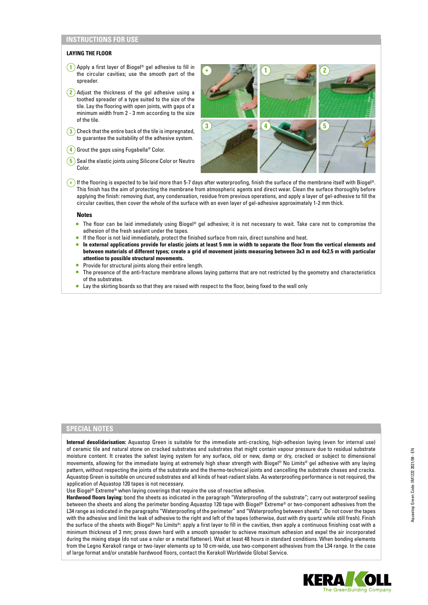## **LAYING THE FLOOR**

- **1** Apply a first layer of Biogel® gel adhesive to fill in the circular cavities; use the smooth part of the spreader.
- **2** Adjust the thickness of the gel adhesive using a toothed spreader of a type suited to the size of the tile. Lay the flooring with open joints, with gaps of a minimum width from 2 - 3 mm according to the size of the tile.
- **3** Check that the entire back of the tile is impregnated, to guarantee the suitability of the adhesive system.
- **4** Grout the gaps using Fugabella<sup>®</sup> Color.
- **5** Seal the elastic joints using Silicone Color or Neutro Color.



**\*** If the flooring is expected to be laid more than 5-7 days after waterproofing, finish the surface of the membrane itself with Biogel®. This finish has the aim of protecting the membrane from atmospheric agents and direct wear. Clean the surface thoroughly before applying the finish: removing dust, any condensation, residue from previous operations, and apply a layer of gel-adhesive to fill the circular cavities, then cover the whole of the surface with an even layer of gel-adhesive approximately 1-2 mm thick.

#### **Notes**

- The floor can be laid immediately using Biogel® gel adhesive; it is not necessary to wait. Take care not to compromise the adhesion of the fresh sealant under the tapes.
- If the floor is not laid immediately, protect the finished surface from rain, direct sunshine and heat.
- **In external applications provide for elastic joints at least 5 mm in width to separate the floor from the vertical elements and between materials of different types; create a grid of movement joints measuring between 3x3 m and 4x2.5 m with particular attention to possible structural movements.**
- Provide for structural joints along their entire length.
- The presence of the anti-fracture membrane allows laying patterns that are not restricted by the geometry and characteristics of the substrates.
- Lay the skirting boards so that they are raised with respect to the floor, being fixed to the wall only

## **SPECIAL NOTES**

**Internal desolidarisation:** Aquastop Green is suitable for the immediate anti-cracking, high-adhesion laying (even for internal use) of ceramic tile and natural stone on cracked substrates and substrates that might contain vapour pressure due to residual substrate moisture content. It creates the safest laying system for any surface, old or new, damp or dry, cracked or subject to dimensional movements, allowing for the immediate laying at extremely high shear strength with Biogel® No Limits® gel adhesive with any laying pattern, without respecting the joints of the substrate and the thermo-technical joints and cancelling the substrate chases and cracks. Aquastop Green is suitable on uncured substrates and all kinds of heat-radiant slabs. As waterproofing performance is not required, the application of Aquastop 120 tapes is not necessary.

Use Biogel® Extreme® when laying coverings that require the use of reactive adhesive.

**Hardwood floors laying:** bond the sheets as indicated in the paragraph "Waterproofing of the substrate"; carry out waterproof sealing between the sheets and along the perimeter bonding Aquastop 120 tape with Biogel® Extreme® or two-component adhesives from the L34 range as indicated in the paragraphs "Waterproofing of the perimeter" and "Waterproofing between sheets". Do not cover the tapes with the adhesive and limit the leak of adhesive to the right and left of the tapes (otherwise, dust with dry quartz while still fresh). Finish the surface of the sheets with Biogel® No Limits®: apply a first layer to fill in the cavities, then apply a continuous finishing coat with a minimum thickness of 3 mm; press down hard with a smooth spreader to achieve maximum adhesion and expel the air incorporated during the mixing stage (do not use a ruler or a metal flattener). Wait at least 48 hours in standard conditions. When bonding elements from the Legno Kerakoll range or two-layer elements up to 10 cm-wide, use two-component adhesives from the L34 range. In the case of large format and/or unstable hardwood floors, contact the Kerakoll Worldwide Global Service.